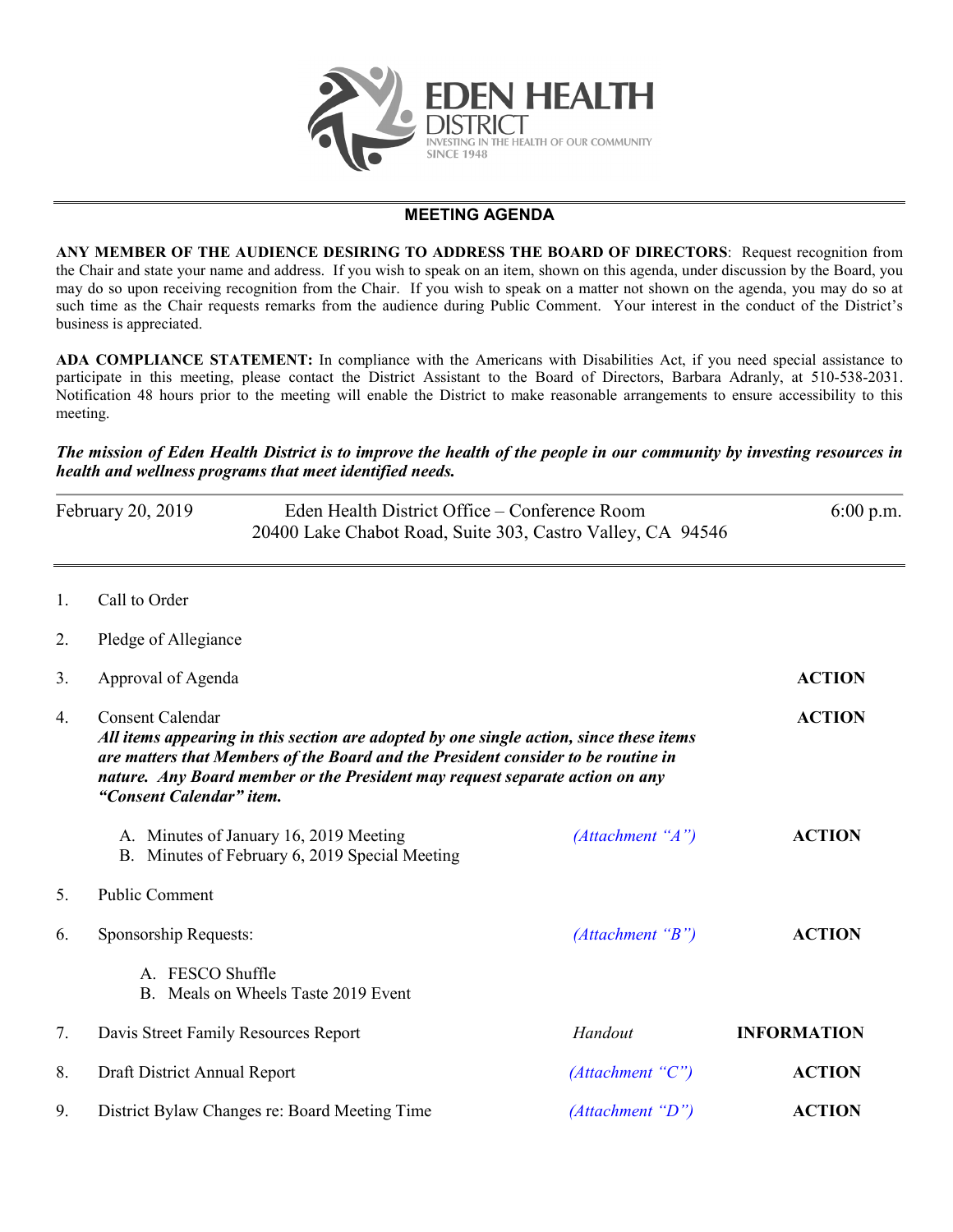

## **MEETING AGENDA**

**ANY MEMBER OF THE AUDIENCE DESIRING TO ADDRESS THE BOARD OF DIRECTORS**: Request recognition from the Chair and state your name and address. If you wish to speak on an item, shown on this agenda, under discussion by the Board, you may do so upon receiving recognition from the Chair. If you wish to speak on a matter not shown on the agenda, you may do so at such time as the Chair requests remarks from the audience during Public Comment. Your interest in the conduct of the District's business is appreciated.

**ADA COMPLIANCE STATEMENT:** In compliance with the Americans with Disabilities Act, if you need special assistance to participate in this meeting, please contact the District Assistant to the Board of Directors, Barbara Adranly, at 510-538-2031. Notification 48 hours prior to the meeting will enable the District to make reasonable arrangements to ensure accessibility to this meeting.

## *The mission of Eden Health District is to improve the health of the people in our community by investing resources in health and wellness programs that meet identified needs.*

| February 20, 2019 | Eden Health District Office – Conference Room<br>20400 Lake Chabot Road, Suite 303, Castro Valley, CA 94546 | $6:00 \text{ p.m.}$ |  |
|-------------------|-------------------------------------------------------------------------------------------------------------|---------------------|--|
| $C_0$ ll to Ordor |                                                                                                             |                     |  |

- 1. Call to Order
- 2. Pledge of Allegiance

| 3. | Approval of Agenda                                                                                                                                                                                                                                                                                                  | <b>ACTION</b>    |                    |
|----|---------------------------------------------------------------------------------------------------------------------------------------------------------------------------------------------------------------------------------------------------------------------------------------------------------------------|------------------|--------------------|
| 4. | <b>Consent Calendar</b><br>All items appearing in this section are adopted by one single action, since these items<br>are matters that Members of the Board and the President consider to be routine in<br>nature. Any Board member or the President may request separate action on any<br>"Consent Calendar" item. | <b>ACTION</b>    |                    |
|    | A. Minutes of January 16, 2019 Meeting<br>B. Minutes of February 6, 2019 Special Meeting                                                                                                                                                                                                                            | (Attachment "A") | <b>ACTION</b>      |
| 5. | <b>Public Comment</b>                                                                                                                                                                                                                                                                                               |                  |                    |
| 6. | Sponsorship Requests:                                                                                                                                                                                                                                                                                               | (Attachment "B") | <b>ACTION</b>      |
|    | FESCO Shuffle<br>$\mathbf{A}$<br>B. Meals on Wheels Taste 2019 Event                                                                                                                                                                                                                                                |                  |                    |
| 7. | Davis Street Family Resources Report                                                                                                                                                                                                                                                                                | Handout          | <b>INFORMATION</b> |
| 8. | Draft District Annual Report                                                                                                                                                                                                                                                                                        | (Attachment "C") | <b>ACTION</b>      |
| 9. | District Bylaw Changes re: Board Meeting Time                                                                                                                                                                                                                                                                       | (Attachment "D") | <b>ACTION</b>      |